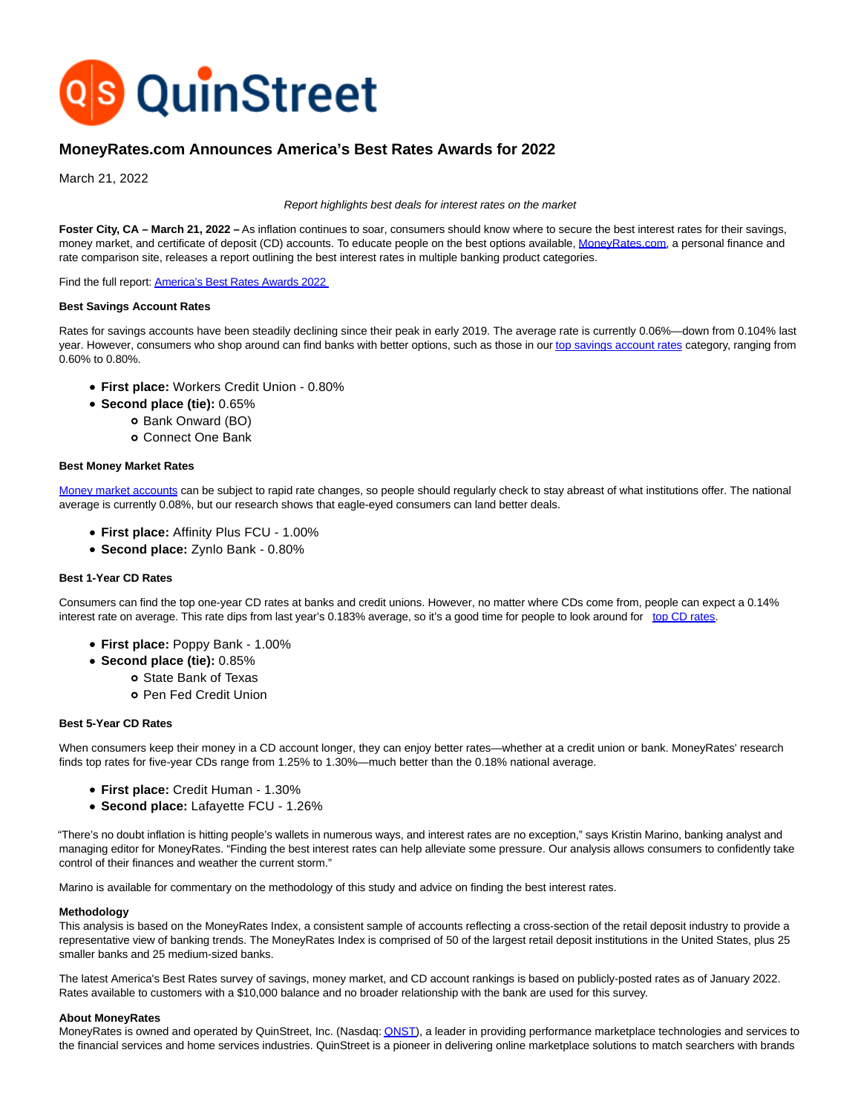

# **MoneyRates.com Announces America's Best Rates Awards for 2022**

March 21, 2022

## Report highlights best deals for interest rates on the market

Foster City, CA - March 21, 2022 - As inflation continues to soar, consumers should know where to secure the best interest rates for their savings, money market, and certificate of deposit (CD) accounts. To educate people on the best options available, [MoneyRates.com,](https://www.moneyrates.com/) a personal finance and rate comparison site, releases a report outlining the best interest rates in multiple banking product categories.

Find the full report[: America's Best Rates Awards 2022](https://www.moneyrates.com/research-center/americas-best-rates/)

# **Best Savings Account Rates**

Rates for savings accounts have been steadily declining since their peak in early 2019. The average rate is currently 0.06%—down from 0.104% last year. However, consumers who shop around can find banks with better options, such as those in ou[r top savings account rates c](https://www.moneyrates.com/best-savings-accounts.htm)ategory, ranging from 0.60% to 0.80%.

- **First place:** Workers Credit Union 0.80%
- **Second place (tie):** 0.65%
	- o Bank Onward (BO)
	- Connect One Bank

### **Best Money Market Rates**

[Money market accounts c](https://www.moneyrates.com/money-market-account.htm)an be subject to rapid rate changes, so people should regularly check to stay abreast of what institutions offer. The national average is currently 0.08%, but our research shows that eagle-eyed consumers can land better deals.

- **First place:** Affinity Plus FCU 1.00%
- **Second place:** Zynlo Bank 0.80%

## **Best 1-Year CD Rates**

Consumers can find the top one-year CD rates at banks and credit unions. However, no matter where CDs come from, people can expect a 0.14% interest rate on average. This rate dips from last year's 0.183% average, so it's a good time for people to look around for [top CD rates.](https://www.moneyrates.com/cdrates.htm)

- **First place:** Poppy Bank 1.00%
- **Second place (tie):** 0.85%
	- State Bank of Texas
	- Pen Fed Credit Union

### **Best 5-Year CD Rates**

When consumers keep their money in a CD account longer, they can enjoy better rates—whether at a credit union or bank. MoneyRates' research finds top rates for five-year CDs range from 1.25% to 1.30%—much better than the 0.18% national average.

- **First place:** Credit Human 1.30%
- **Second place:** Lafayette FCU 1.26%

"There's no doubt inflation is hitting people's wallets in numerous ways, and interest rates are no exception," says Kristin Marino, banking analyst and managing editor for MoneyRates. "Finding the best interest rates can help alleviate some pressure. Our analysis allows consumers to confidently take control of their finances and weather the current storm."

Marino is available for commentary on the methodology of this study and advice on finding the best interest rates.

### **Methodology**

This analysis is based on the MoneyRates Index, a consistent sample of accounts reflecting a cross-section of the retail deposit industry to provide a representative view of banking trends. The MoneyRates Index is comprised of 50 of the largest retail deposit institutions in the United States, plus 25 smaller banks and 25 medium-sized banks.

The latest America's Best Rates survey of savings, money market, and CD account rankings is based on publicly-posted rates as of January 2022. Rates available to customers with a \$10,000 balance and no broader relationship with the bank are used for this survey.

# **About MoneyRates**

MoneyRates is owned and operated by QuinStreet, Inc. (Nasdaq: ONST), a leader in providing performance marketplace technologies and services to the financial services and home services industries. QuinStreet is a pioneer in delivering online marketplace solutions to match searchers with brands